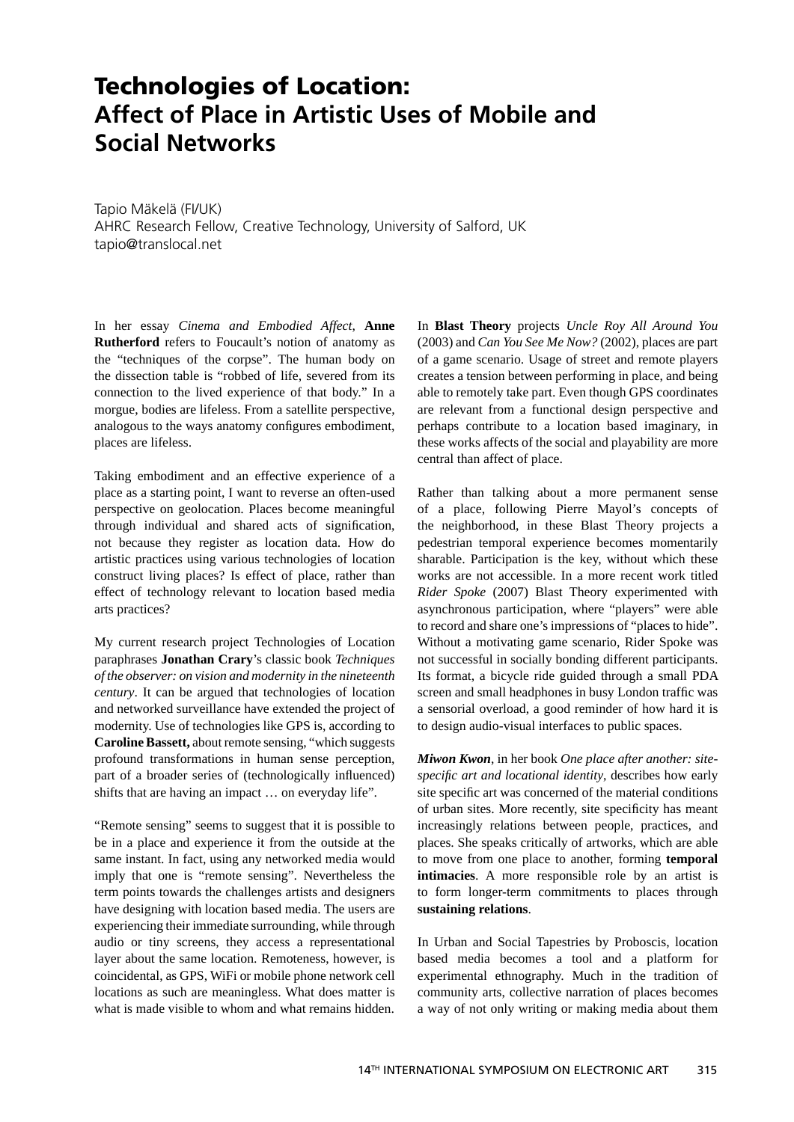## **Technologies of Location: Affect of Place in Artistic Uses of Mobile and Social Networks**

Tapio Mäkelä (FI/UK) AHRC Research Fellow, Creative Technology, University of Salford, UK tapio@translocal.net

In her essay *Cinema and Embodied Affect*, **Anne Rutherford** refers to Foucault's notion of anatomy as the "techniques of the corpse". The human body on the dissection table is "robbed of life, severed from its connection to the lived experience of that body." In a morgue, bodies are lifeless. From a satellite perspective, analogous to the ways anatomy configures embodiment, places are lifeless.

Taking embodiment and an effective experience of a place as a starting point, I want to reverse an often-used perspective on geolocation. Places become meaningful through individual and shared acts of signification, not because they register as location data. How do artistic practices using various technologies of location construct living places? Is effect of place, rather than effect of technology relevant to location based media arts practices?

My current research project Technologies of Location paraphrases **Jonathan Crary**'s classic book *Techniques of the observer: on vision and modernity in the nineteenth century*. It can be argued that technologies of location and networked surveillance have extended the project of modernity. Use of technologies like GPS is, according to **Caroline Bassett,** about remote sensing, "which suggests profound transformations in human sense perception, part of a broader series of (technologically influenced) shifts that are having an impact … on everyday life".

"Remote sensing" seems to suggest that it is possible to be in a place and experience it from the outside at the same instant. In fact, using any networked media would imply that one is "remote sensing". Nevertheless the term points towards the challenges artists and designers have designing with location based media. The users are experiencing their immediate surrounding, while through audio or tiny screens, they access a representational layer about the same location. Remoteness, however, is coincidental, as GPS, WiFi or mobile phone network cell locations as such are meaningless. What does matter is what is made visible to whom and what remains hidden. In **Blast Theory** projects *Uncle Roy All Around You*  (2003) and *Can You See Me Now?* (2002), places are part of a game scenario. Usage of street and remote players creates a tension between performing in place, and being able to remotely take part. Even though GPS coordinates are relevant from a functional design perspective and perhaps contribute to a location based imaginary, in these works affects of the social and playability are more central than affect of place.

Rather than talking about a more permanent sense of a place, following Pierre Mayol's concepts of the neighborhood, in these Blast Theory projects a pedestrian temporal experience becomes momentarily sharable. Participation is the key, without which these works are not accessible. In a more recent work titled *Rider Spoke* (2007) Blast Theory experimented with asynchronous participation, where "players" were able to record and share one's impressions of "places to hide". Without a motivating game scenario, Rider Spoke was not successful in socially bonding different participants. Its format, a bicycle ride guided through a small PDA screen and small headphones in busy London traffic was a sensorial overload, a good reminder of how hard it is to design audio-visual interfaces to public spaces.

*Miwon Kwon*, in her book *One place after another: sitespecifi c art and locational identity*, describes how early site specific art was concerned of the material conditions of urban sites. More recently, site specificity has meant increasingly relations between people, practices, and places. She speaks critically of artworks, which are able to move from one place to another, forming **temporal intimacies**. A more responsible role by an artist is to form longer-term commitments to places through **sustaining relations**.

In Urban and Social Tapestries by Proboscis, location based media becomes a tool and a platform for experimental ethnography. Much in the tradition of community arts, collective narration of places becomes a way of not only writing or making media about them